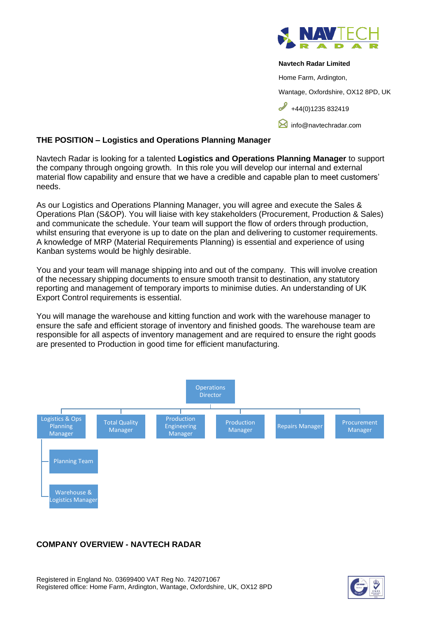

#### **Navtech Radar Limited**

Home Farm, Ardington,

Wantage, Oxfordshire, OX12 8PD, UK

 $+44(0)1235832419$ 

**M** [info@navtechradar.com](mailto:info@navtechradar.com)

### **THE POSITION – Logistics and Operations Planning Manager**

Navtech Radar is looking for a talented **Logistics and Operations Planning Manager** to support the company through ongoing growth. In this role you will develop our internal and external material flow capability and ensure that we have a credible and capable plan to meet customers' needs.

As our Logistics and Operations Planning Manager, you will agree and execute the Sales & Operations Plan (S&OP). You will liaise with key stakeholders (Procurement, Production & Sales) and communicate the schedule. Your team will support the flow of orders through production, whilst ensuring that everyone is up to date on the plan and delivering to customer requirements. A knowledge of MRP (Material Requirements Planning) is essential and experience of using Kanban systems would be highly desirable.

You and your team will manage shipping into and out of the company. This will involve creation of the necessary shipping documents to ensure smooth transit to destination, any statutory reporting and management of temporary imports to minimise duties. An understanding of UK Export Control requirements is essential.

You will manage the warehouse and kitting function and work with the warehouse manager to ensure the safe and efficient storage of inventory and finished goods. The warehouse team are responsible for all aspects of inventory management and are required to ensure the right goods are presented to Production in good time for efficient manufacturing.



### **COMPANY OVERVIEW - NAVTECH RADAR**

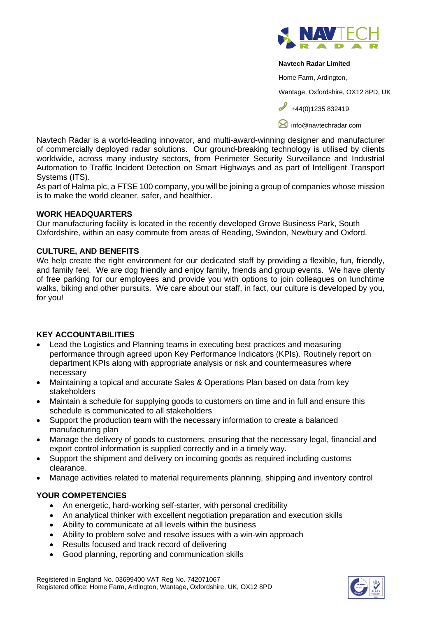

#### **Navtech Radar Limited**

Home Farm, Ardington,

Wantage, Oxfordshire, OX12 8PD, UK

 $\bigcup_{+44(0)1235} 832419$ 

**[info@navtechradar.com](mailto:info@navtechradar.com)** 

Navtech Radar is a world-leading innovator, and multi-award-winning designer and manufacturer of commercially deployed radar solutions. Our ground-breaking technology is utilised by clients worldwide, across many industry sectors, from Perimeter Security Surveillance and Industrial Automation to Traffic Incident Detection on Smart Highways and as part of Intelligent Transport Systems (ITS).

As part of Halma plc, a FTSE 100 company, you will be joining a group of companies whose mission is to make the world cleaner, safer, and healthier.

### **WORK HEADQUARTERS**

Our manufacturing facility is located in the recently developed Grove Business Park, South Oxfordshire, within an easy commute from areas of Reading, Swindon, Newbury and Oxford.

## **CULTURE, AND BENEFITS**

We help create the right environment for our dedicated staff by providing a flexible, fun, friendly, and family feel. We are dog friendly and enjoy family, friends and group events. We have plenty of free parking for our employees and provide you with options to join colleagues on lunchtime walks, biking and other pursuits. We care about our staff, in fact, our culture is developed by you, for you!

# **KEY ACCOUNTABILITIES**

- Lead the Logistics and Planning teams in executing best practices and measuring performance through agreed upon Key Performance Indicators (KPIs). Routinely report on department KPIs along with appropriate analysis or risk and countermeasures where necessary
- Maintaining a topical and accurate Sales & Operations Plan based on data from key stakeholders
- Maintain a schedule for supplying goods to customers on time and in full and ensure this schedule is communicated to all stakeholders
- Support the production team with the necessary information to create a balanced manufacturing plan
- Manage the delivery of goods to customers, ensuring that the necessary legal, financial and export control information is supplied correctly and in a timely way.
- Support the shipment and delivery on incoming goods as required including customs clearance.
- Manage activities related to material requirements planning, shipping and inventory control

# **YOUR COMPETENCIES**

- An energetic, hard-working self-starter, with personal credibility
- An analytical thinker with excellent negotiation preparation and execution skills
- Ability to communicate at all levels within the business
- Ability to problem solve and resolve issues with a win-win approach
- Results focused and track record of delivering
- Good planning, reporting and communication skills